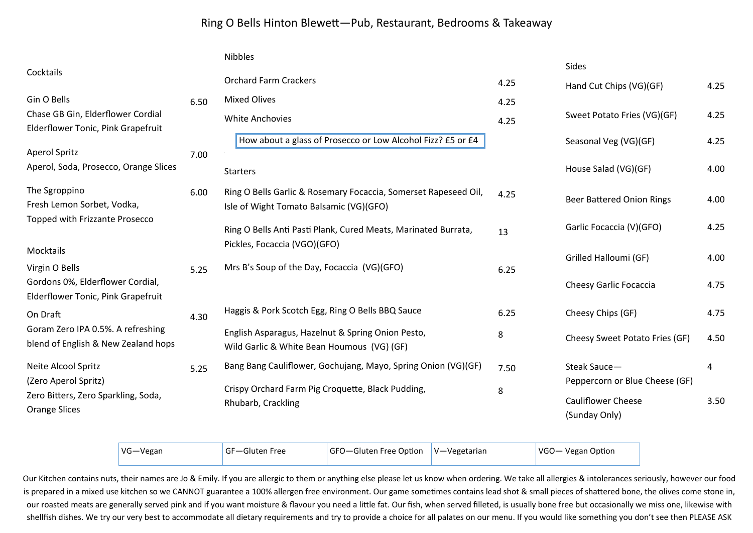## Ring O Bells Hinton BleweƩ—Pub, Restaurant, Bedrooms & Takeaway

|                                                                                        |      | <b>Nibbles</b>                                                                                             | Sides        |                                                 |              |
|----------------------------------------------------------------------------------------|------|------------------------------------------------------------------------------------------------------------|--------------|-------------------------------------------------|--------------|
| Cocktails                                                                              |      | <b>Orchard Farm Crackers</b>                                                                               | 4.25         | Hand Cut Chips (VG)(GF)                         | 4.25         |
| Gin O Bells<br>Chase GB Gin, Elderflower Cordial<br>Elderflower Tonic, Pink Grapefruit | 6.50 | <b>Mixed Olives</b><br><b>White Anchovies</b>                                                              | 4.25<br>4.25 | Sweet Potato Fries (VG)(GF)                     | 4.25         |
| <b>Aperol Spritz</b>                                                                   | 7.00 | How about a glass of Prosecco or Low Alcohol Fizz? £5 or £4                                                |              | Seasonal Veg (VG)(GF)                           | 4.25         |
| Aperol, Soda, Prosecco, Orange Slices                                                  |      | <b>Starters</b>                                                                                            |              | House Salad (VG)(GF)                            | 4.00         |
| The Sgroppino<br>Fresh Lemon Sorbet, Vodka,                                            | 6.00 | Ring O Bells Garlic & Rosemary Focaccia, Somerset Rapeseed Oil,<br>Isle of Wight Tomato Balsamic (VG)(GFO) | 4.25         | <b>Beer Battered Onion Rings</b>                | 4.00         |
| Topped with Frizzante Prosecco                                                         |      | Ring O Bells Anti Pasti Plank, Cured Meats, Marinated Burrata,<br>Pickles, Focaccia (VGO)(GFO)             | 13           | Garlic Focaccia (V)(GFO)                        | 4.25         |
| Mocktails<br>Virgin O Bells<br>Gordons 0%, Elderflower Cordial,                        | 5.25 | Mrs B's Soup of the Day, Focaccia (VG)(GFO)                                                                | 6.25         | Grilled Halloumi (GF)<br>Cheesy Garlic Focaccia | 4.00<br>4.75 |
| Elderflower Tonic, Pink Grapefruit<br>On Draft                                         | 4.30 | Haggis & Pork Scotch Egg, Ring O Bells BBQ Sauce                                                           | 6.25         | Cheesy Chips (GF)                               | 4.75         |
| Goram Zero IPA 0.5%. A refreshing<br>blend of English & New Zealand hops               |      | English Asparagus, Hazelnut & Spring Onion Pesto,<br>Wild Garlic & White Bean Houmous (VG) (GF)            | 8            | Cheesy Sweet Potato Fries (GF)                  | 4.50         |
| Neite Alcool Spritz<br>(Zero Aperol Spritz)                                            | 5.25 | Bang Bang Cauliflower, Gochujang, Mayo, Spring Onion (VG)(GF)                                              | 7.50         | Steak Sauce-<br>Peppercorn or Blue Cheese (GF)  | 4            |
| Zero Bitters, Zero Sparkling, Soda,<br><b>Orange Slices</b>                            |      | Crispy Orchard Farm Pig Croquette, Black Pudding,<br>Rhubarb, Crackling                                    | 8            | <b>Cauliflower Cheese</b><br>(Sunday Only)      | 3.50         |

| VG-Vegan | <sup>I</sup> GF-Gluten Free | $ GFO - Gluten Free Option  V - Vegetarian$ | VGO- Vegan Option |
|----------|-----------------------------|---------------------------------------------|-------------------|
|          |                             |                                             |                   |

Our Kitchen contains nuts, their names are Jo & Emily. If you are allergic to them or anything else please let us know when ordering. We take all allergies & intolerances seriously, however our food is prepared in a mixed use kitchen so we CANNOT guarantee a 100% allergen free environment. Our game sometimes contains lead shot & small pieces of shattered bone, the olives come stone in, our roasted meats are generally served pink and if you want moisture & flavour you need a little fat. Our fish, when served filleted, is usually bone free but occasionally we miss one, likewise with shellfish dishes. We try our very best to accommodate all dietary requirements and try to provide a choice for all palates on our menu. If you would like something you don't see then PLEASE ASK